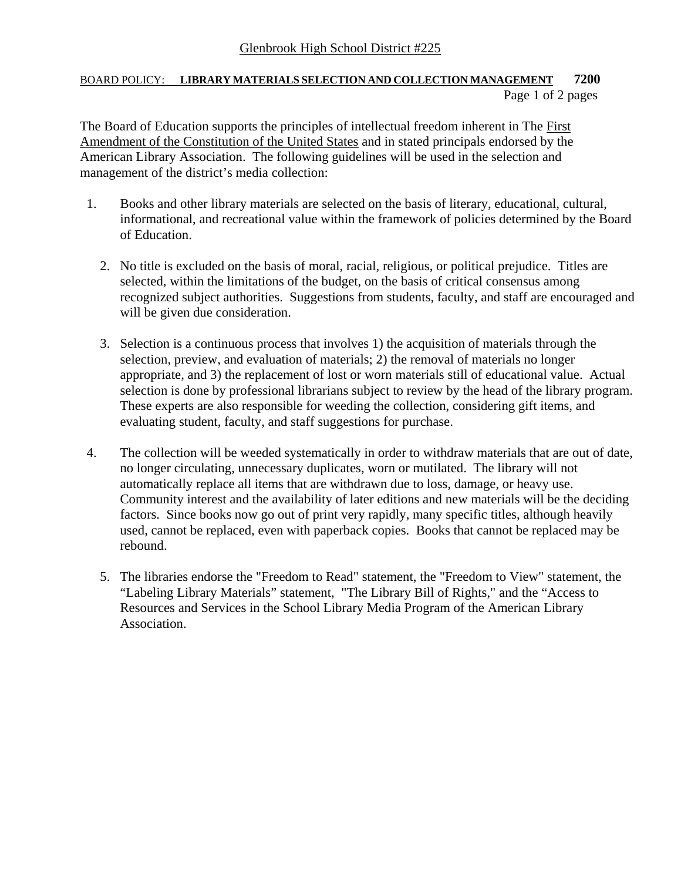## Glenbrook High School District #225

## BOARD POLICY: **LIBRARY MATERIALS SELECTION AND COLLECTION MANAGEMENT 7200**  Page 1 of 2 pages

The Board of Education supports the principles of intellectual freedom inherent in The First Amendment of the Constitution of the United States and in stated principals endorsed by the American Library Association. The following guidelines will be used in the selection and management of the district's media collection:

- 1. Books and other library materials are selected on the basis of literary, educational, cultural, informational, and recreational value within the framework of policies determined by the Board of Education.
	- 2. No title is excluded on the basis of moral, racial, religious, or political prejudice. Titles are selected, within the limitations of the budget, on the basis of critical consensus among recognized subject authorities. Suggestions from students, faculty, and staff are encouraged and will be given due consideration.
	- 3. Selection is a continuous process that involves 1) the acquisition of materials through the selection, preview, and evaluation of materials; 2) the removal of materials no longer appropriate, and 3) the replacement of lost or worn materials still of educational value. Actual selection is done by professional librarians subject to review by the head of the library program. These experts are also responsible for weeding the collection, considering gift items, and evaluating student, faculty, and staff suggestions for purchase.
- 4. The collection will be weeded systematically in order to withdraw materials that are out of date, no longer circulating, unnecessary duplicates, worn or mutilated. The library will not automatically replace all items that are withdrawn due to loss, damage, or heavy use. Community interest and the availability of later editions and new materials will be the deciding factors. Since books now go out of print very rapidly, many specific titles, although heavily used, cannot be replaced, even with paperback copies. Books that cannot be replaced may be rebound.
	- 5. The libraries endorse the "Freedom to Read" statement, the "Freedom to View" statement, the "Labeling Library Materials" statement, "The Library Bill of Rights," and the "Access to Resources and Services in the School Library Media Program of the American Library Association.